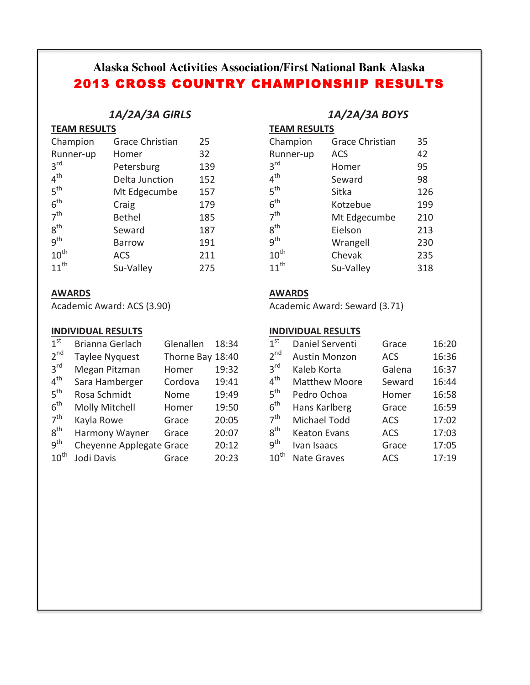# **Alaska School Activities Association/First National Bank Alaska** 2013 CROSS COUNTRY CHAMPIONSHIP RESULTS

## *1A/2A/3A GIRLS*

| <b>TEAM RESULTS</b> |
|---------------------|
|                     |

| Champion         | <b>Grace Christian</b> | 25  |
|------------------|------------------------|-----|
| Runner-up        | Homer                  | 32  |
| 3 <sup>rd</sup>  | Petersburg             | 139 |
| 4 <sup>th</sup>  | Delta Junction         | 152 |
| 5 <sup>th</sup>  | Mt Edgecumbe           | 157 |
| 6 <sup>th</sup>  | Craig                  | 179 |
| 7 <sup>th</sup>  | <b>Bethel</b>          | 185 |
| 8 <sup>th</sup>  | Seward                 | 187 |
| g <sup>th</sup>  | <b>Barrow</b>          | 191 |
| $10^{\text{th}}$ | <b>ACS</b>             | 211 |
| $11^{th}$        | Su-Valley              | 275 |

## **AWARDS**

Academic Award: ACS (3.90)

### **INDIVIDUAL RESULTS**

| 1 <sup>st</sup>  | Brianna Gerlach          | Glenallen        | 18:34 |
|------------------|--------------------------|------------------|-------|
| 2 <sup>nd</sup>  | <b>Taylee Nyquest</b>    | Thorne Bay 18:40 |       |
| 3 <sup>rd</sup>  | Megan Pitzman            | Homer            | 19:32 |
| 4 <sup>th</sup>  | Sara Hamberger           | Cordova          | 19:41 |
| 5 <sup>th</sup>  | Rosa Schmidt             | Nome             | 19:49 |
| 6 <sup>th</sup>  | <b>Molly Mitchell</b>    | Homer            | 19:50 |
| 7 <sup>th</sup>  | Kayla Rowe               | Grace            | 20:05 |
| 8 <sup>th</sup>  | Harmony Wayner           | Grace            | 20:07 |
| q <sup>th</sup>  | Cheyenne Applegate Grace |                  | 20:12 |
| $10^{\text{th}}$ | Jodi Davis               | Grace            | 20:23 |

## *1A/2A/3A BOYS*

**TEAM RESULTS** 

| Champion         | <b>Grace Christian</b> | 35  |
|------------------|------------------------|-----|
| Runner-up        | <b>ACS</b>             | 42  |
| 3 <sup>rd</sup>  | Homer                  | 95  |
| $4^{\text{th}}$  | Seward                 | 98  |
| 5 <sup>th</sup>  | Sitka                  | 126 |
| $6^{\text{th}}$  | Kotzebue               | 199 |
| 7 <sup>th</sup>  | Mt Edgecumbe           | 210 |
| 8 <sup>th</sup>  | Eielson                | 213 |
| q <sup>th</sup>  | Wrangell               | 230 |
| $10^{\text{th}}$ | Chevak                 | 235 |
| $11^{th}$        | Su-Valley              | 318 |

## **AWARDS**

Academic Award: Seward (3.71)

## **INDIVIDUAL RESULTS**

| 1 <sup>st</sup>   | Daniel Serventi      | Grace      | 16:20 |
|-------------------|----------------------|------------|-------|
| $2^{nd}$          | <b>Austin Monzon</b> | <b>ACS</b> | 16:36 |
| $3^{\text{rd}}$   | Kaleb Korta          | Galena     | 16:37 |
| $4^{\mathsf{th}}$ | <b>Matthew Moore</b> | Seward     | 16:44 |
| $5^{\text{th}}$   | Pedro Ochoa          | Homer      | 16:58 |
| $6^{\text{th}}$   | Hans Karlberg        | Grace      | 16:59 |
| 7 <sup>th</sup>   | Michael Todd         | <b>ACS</b> | 17:02 |
| $8^{\text{th}}$   | <b>Keaton Evans</b>  | <b>ACS</b> | 17:03 |
| $9^{\mathsf{th}}$ | Ivan Isaacs          | Grace      | 17:05 |
| $10^{\sf th}$     | <b>Nate Graves</b>   | <b>ACS</b> | 17:19 |